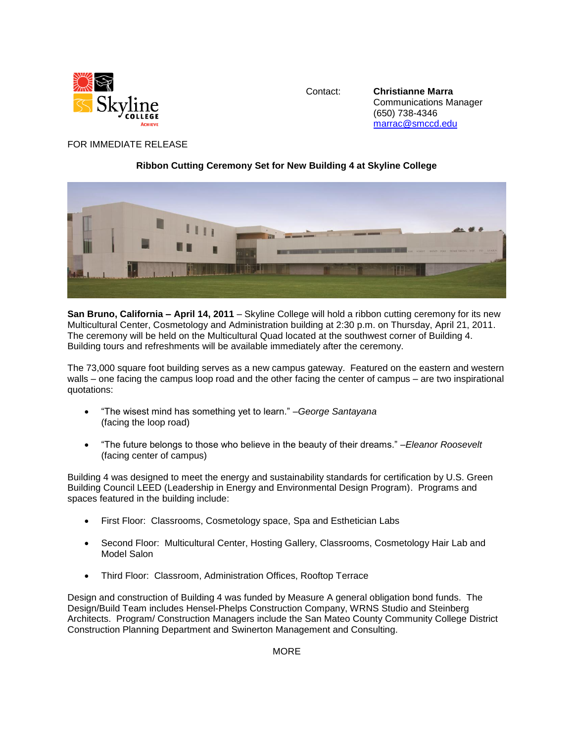

Contact: **Christianne Marra** Communications Manager (650) 738-4346 [marrac@smccd.edu](mailto:marrac@smccd.edu)

## FOR IMMEDIATE RELEASE

## **Ribbon Cutting Ceremony Set for New Building 4 at Skyline College**



**San Bruno, California – April 14, 2011** – Skyline College will hold a ribbon cutting ceremony for its new Multicultural Center, Cosmetology and Administration building at 2:30 p.m. on Thursday, April 21, 2011. The ceremony will be held on the Multicultural Quad located at the southwest corner of Building 4. Building tours and refreshments will be available immediately after the ceremony.

The 73,000 square foot building serves as a new campus gateway. Featured on the eastern and western walls – one facing the campus loop road and the other facing the center of campus – are two inspirational quotations:

- "The wisest mind has something yet to learn." –*George Santayana* (facing the loop road)
- "The future belongs to those who believe in the beauty of their dreams." –*Eleanor Roosevelt* (facing center of campus)

Building 4 was designed to meet the energy and sustainability standards for certification by U.S. Green Building Council LEED (Leadership in Energy and Environmental Design Program). Programs and spaces featured in the building include:

- First Floor: Classrooms, Cosmetology space, Spa and Esthetician Labs
- Second Floor: Multicultural Center, Hosting Gallery, Classrooms, Cosmetology Hair Lab and Model Salon
- Third Floor: Classroom, Administration Offices, Rooftop Terrace

Design and construction of Building 4 was funded by Measure A general obligation bond funds. The Design/Build Team includes Hensel-Phelps Construction Company, WRNS Studio and Steinberg Architects. Program/ Construction Managers include the San Mateo County Community College District Construction Planning Department and Swinerton Management and Consulting.